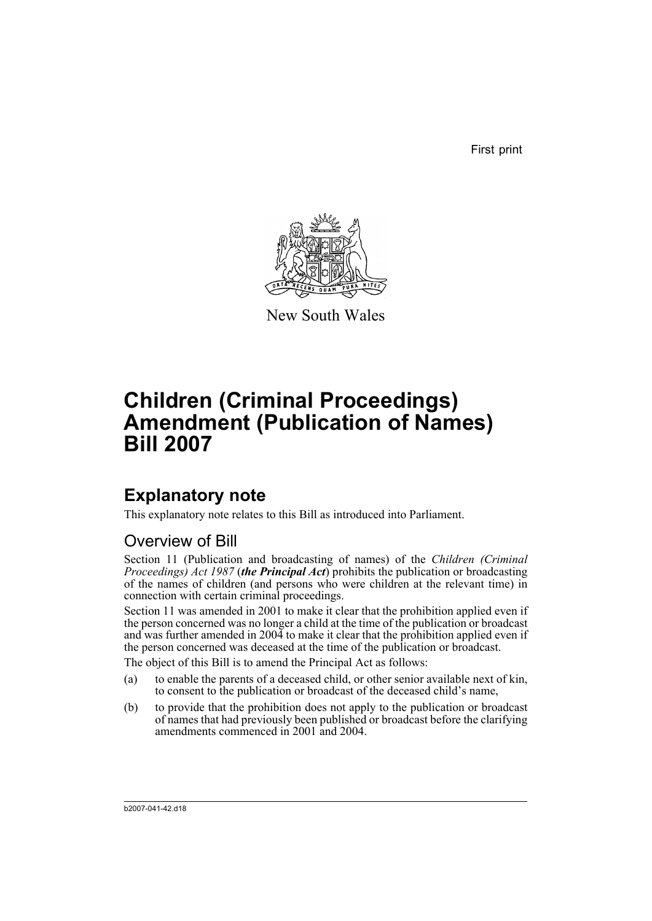First print



New South Wales

# **Children (Criminal Proceedings) Amendment (Publication of Names) Bill 2007**

# **Explanatory note**

This explanatory note relates to this Bill as introduced into Parliament.

# Overview of Bill

Section 11 (Publication and broadcasting of names) of the *Children (Criminal Proceedings) Act 1987* (*the Principal Act*) prohibits the publication or broadcasting of the names of children (and persons who were children at the relevant time) in connection with certain criminal proceedings.

Section 11 was amended in 2001 to make it clear that the prohibition applied even if the person concerned was no longer a child at the time of the publication or broadcast and was further amended in 2004 to make it clear that the prohibition applied even if the person concerned was deceased at the time of the publication or broadcast.

The object of this Bill is to amend the Principal Act as follows:

- (a) to enable the parents of a deceased child, or other senior available next of kin, to consent to the publication or broadcast of the deceased child's name,
- (b) to provide that the prohibition does not apply to the publication or broadcast of names that had previously been published or broadcast before the clarifying amendments commenced in 2001 and 2004.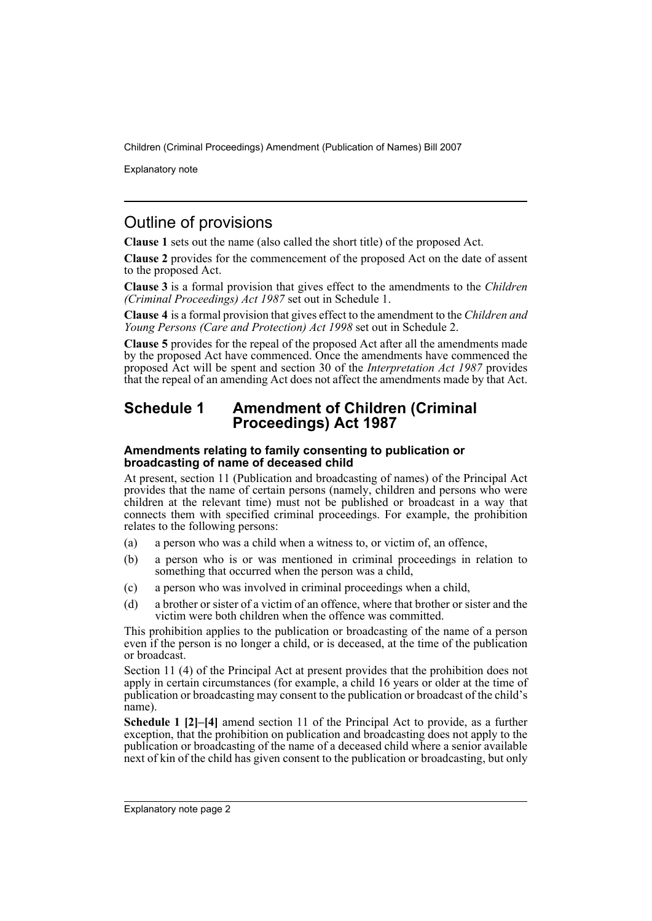Explanatory note

# Outline of provisions

**Clause 1** sets out the name (also called the short title) of the proposed Act.

**Clause 2** provides for the commencement of the proposed Act on the date of assent to the proposed Act.

**Clause 3** is a formal provision that gives effect to the amendments to the *Children (Criminal Proceedings) Act 1987* set out in Schedule 1.

**Clause 4** is a formal provision that gives effect to the amendment to the *Children and Young Persons (Care and Protection) Act 1998* set out in Schedule 2.

**Clause 5** provides for the repeal of the proposed Act after all the amendments made by the proposed Act have commenced. Once the amendments have commenced the proposed Act will be spent and section 30 of the *Interpretation Act 1987* provides that the repeal of an amending Act does not affect the amendments made by that Act.

## **Schedule 1 Amendment of Children (Criminal Proceedings) Act 1987**

#### **Amendments relating to family consenting to publication or broadcasting of name of deceased child**

At present, section 11 (Publication and broadcasting of names) of the Principal Act provides that the name of certain persons (namely, children and persons who were children at the relevant time) must not be published or broadcast in a way that connects them with specified criminal proceedings. For example, the prohibition relates to the following persons:

- (a) a person who was a child when a witness to, or victim of, an offence,
- (b) a person who is or was mentioned in criminal proceedings in relation to something that occurred when the person was a child,
- (c) a person who was involved in criminal proceedings when a child,
- (d) a brother or sister of a victim of an offence, where that brother or sister and the victim were both children when the offence was committed.

This prohibition applies to the publication or broadcasting of the name of a person even if the person is no longer a child, or is deceased, at the time of the publication or broadcast.

Section 11 (4) of the Principal Act at present provides that the prohibition does not apply in certain circumstances (for example, a child 16 years or older at the time of publication or broadcasting may consent to the publication or broadcast of the child's name).

**Schedule 1 [2]–[4]** amend section 11 of the Principal Act to provide, as a further exception, that the prohibition on publication and broadcasting does not apply to the publication or broadcasting of the name of a deceased child where a senior available next of kin of the child has given consent to the publication or broadcasting, but only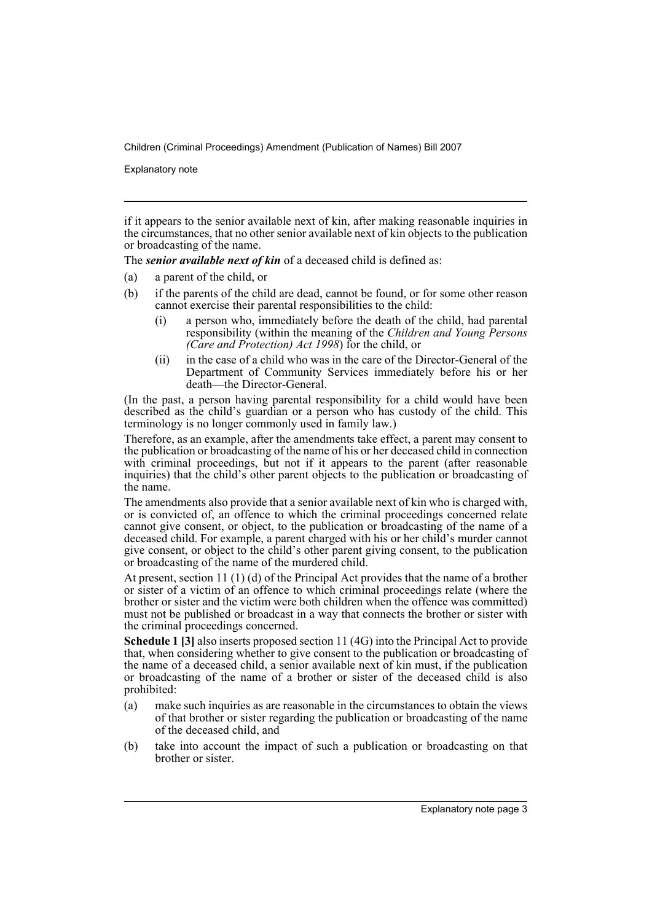Explanatory note

if it appears to the senior available next of kin, after making reasonable inquiries in the circumstances, that no other senior available next of kin objects to the publication or broadcasting of the name.

The *senior available next of kin* of a deceased child is defined as:

- (a) a parent of the child, or
- (b) if the parents of the child are dead, cannot be found, or for some other reason cannot exercise their parental responsibilities to the child:
	- (i) a person who, immediately before the death of the child, had parental responsibility (within the meaning of the *Children and Young Persons (Care and Protection) Act 1998*) for the child, or
	- (ii) in the case of a child who was in the care of the Director-General of the Department of Community Services immediately before his or her death—the Director-General.

(In the past, a person having parental responsibility for a child would have been described as the child's guardian or a person who has custody of the child. This terminology is no longer commonly used in family law.)

Therefore, as an example, after the amendments take effect, a parent may consent to the publication or broadcasting of the name of his or her deceased child in connection with criminal proceedings, but not if it appears to the parent (after reasonable inquiries) that the child's other parent objects to the publication or broadcasting of the name.

The amendments also provide that a senior available next of kin who is charged with, or is convicted of, an offence to which the criminal proceedings concerned relate cannot give consent, or object, to the publication or broadcasting of the name of a deceased child. For example, a parent charged with his or her child's murder cannot give consent, or object to the child's other parent giving consent, to the publication or broadcasting of the name of the murdered child.

At present, section 11 (1) (d) of the Principal Act provides that the name of a brother or sister of a victim of an offence to which criminal proceedings relate (where the brother or sister and the victim were both children when the offence was committed) must not be published or broadcast in a way that connects the brother or sister with the criminal proceedings concerned.

**Schedule 1 [3]** also inserts proposed section 11 (4G) into the Principal Act to provide that, when considering whether to give consent to the publication or broadcasting of the name of a deceased child, a senior available next of kin must, if the publication or broadcasting of the name of a brother or sister of the deceased child is also prohibited:

- (a) make such inquiries as are reasonable in the circumstances to obtain the views of that brother or sister regarding the publication or broadcasting of the name of the deceased child, and
- (b) take into account the impact of such a publication or broadcasting on that brother or sister.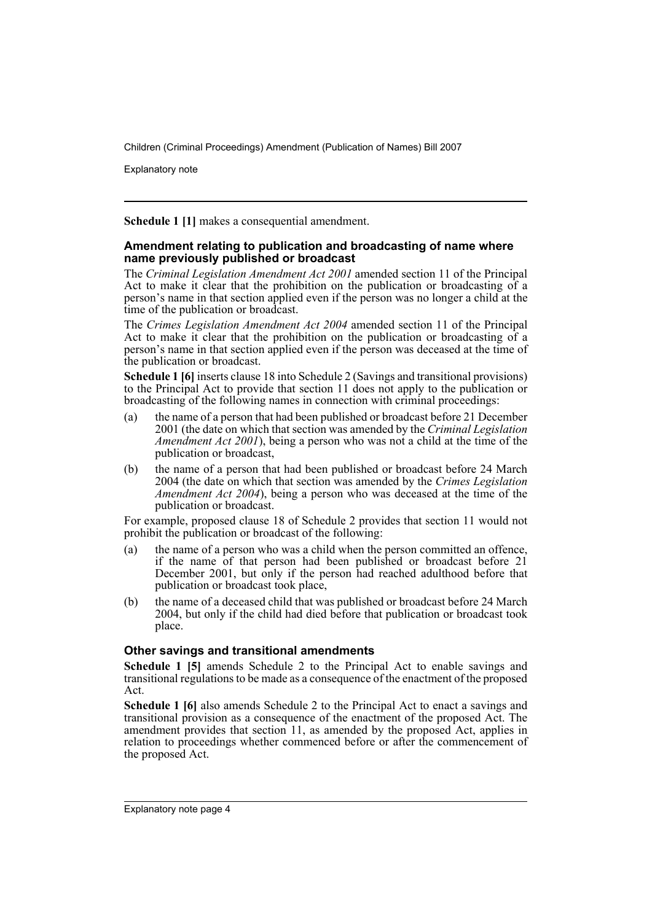Explanatory note

**Schedule 1 [1]** makes a consequential amendment.

#### **Amendment relating to publication and broadcasting of name where name previously published or broadcast**

The *Criminal Legislation Amendment Act 2001* amended section 11 of the Principal Act to make it clear that the prohibition on the publication or broadcasting of a person's name in that section applied even if the person was no longer a child at the time of the publication or broadcast.

The *Crimes Legislation Amendment Act 2004* amended section 11 of the Principal Act to make it clear that the prohibition on the publication or broadcasting of a person's name in that section applied even if the person was deceased at the time of the publication or broadcast.

**Schedule 1 [6]** inserts clause 18 into Schedule 2 (Savings and transitional provisions) to the Principal Act to provide that section 11 does not apply to the publication or broadcasting of the following names in connection with criminal proceedings:

- (a) the name of a person that had been published or broadcast before 21 December 2001 (the date on which that section was amended by the *Criminal Legislation Amendment Act 2001*), being a person who was not a child at the time of the publication or broadcast,
- (b) the name of a person that had been published or broadcast before 24 March 2004 (the date on which that section was amended by the *Crimes Legislation Amendment Act 2004*), being a person who was deceased at the time of the publication or broadcast.

For example, proposed clause 18 of Schedule 2 provides that section 11 would not prohibit the publication or broadcast of the following:

- (a) the name of a person who was a child when the person committed an offence, if the name of that person had been published or broadcast before 21 December 2001, but only if the person had reached adulthood before that publication or broadcast took place,
- (b) the name of a deceased child that was published or broadcast before 24 March 2004, but only if the child had died before that publication or broadcast took place.

## **Other savings and transitional amendments**

**Schedule 1 [5]** amends Schedule 2 to the Principal Act to enable savings and transitional regulations to be made as a consequence of the enactment of the proposed Act.

**Schedule 1 [6]** also amends Schedule 2 to the Principal Act to enact a savings and transitional provision as a consequence of the enactment of the proposed Act. The amendment provides that section 11, as amended by the proposed Act, applies in relation to proceedings whether commenced before or after the commencement of the proposed Act.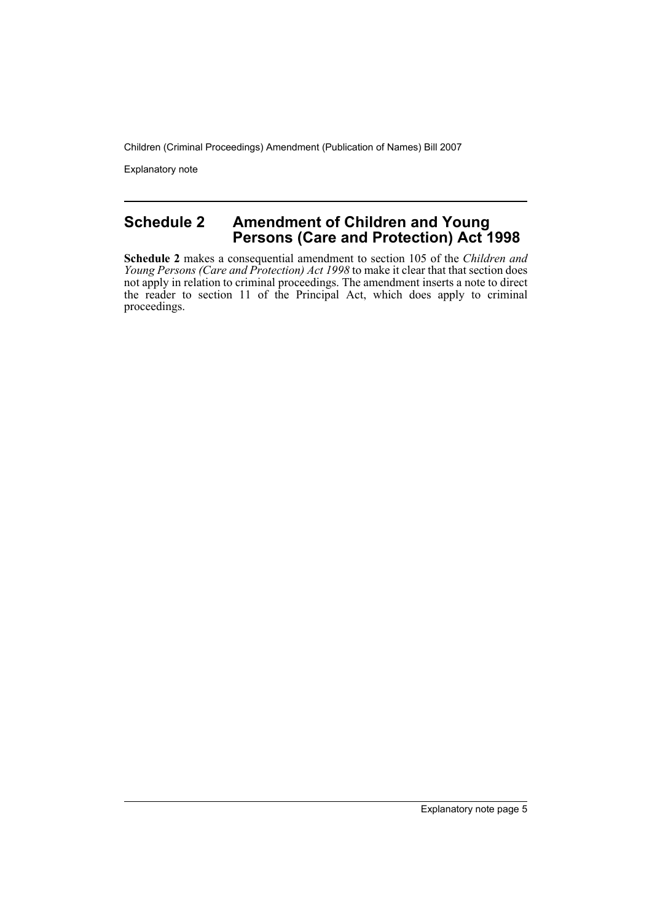Explanatory note

## **Schedule 2 Amendment of Children and Young Persons (Care and Protection) Act 1998**

**Schedule 2** makes a consequential amendment to section 105 of the *Children and Young Persons (Care and Protection) Act 1998* to make it clear that that section does not apply in relation to criminal proceedings. The amendment inserts a note to direct the reader to section 11 of the Principal Act, which does apply to criminal proceedings.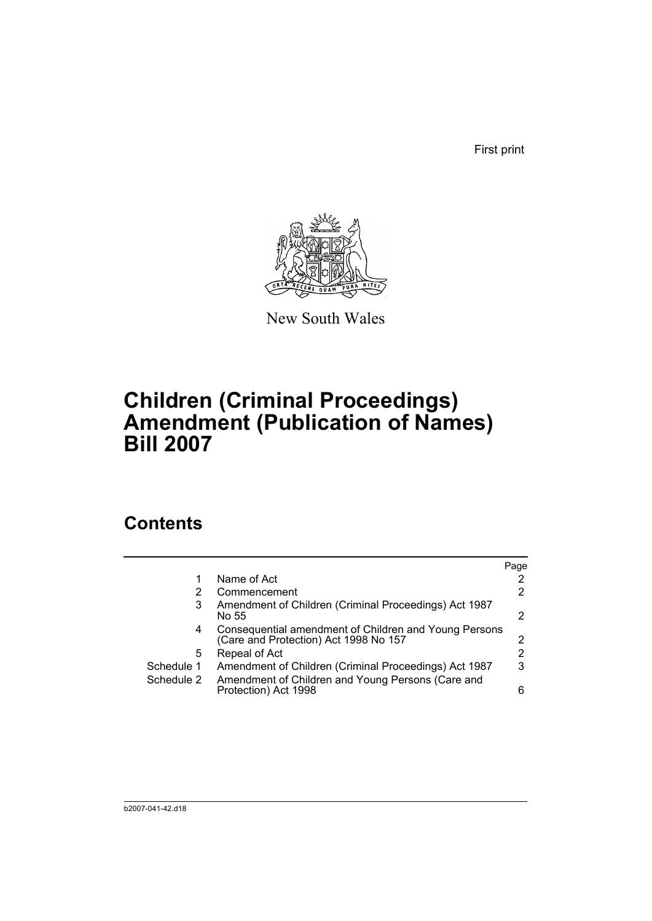First print



New South Wales

# **Children (Criminal Proceedings) Amendment (Publication of Names) Bill 2007**

# **Contents**

|            |                                                                                                | Page |
|------------|------------------------------------------------------------------------------------------------|------|
|            | Name of Act                                                                                    | 2    |
|            | Commencement                                                                                   | 2    |
| 3          | Amendment of Children (Criminal Proceedings) Act 1987<br>No 55                                 | 2    |
| 4          | Consequential amendment of Children and Young Persons<br>(Care and Protection) Act 1998 No 157 | 2    |
| 5          | Repeal of Act                                                                                  | 2    |
| Schedule 1 | Amendment of Children (Criminal Proceedings) Act 1987                                          | 3    |
| Schedule 2 | Amendment of Children and Young Persons (Care and<br>Protection) Act 1998                      | 6    |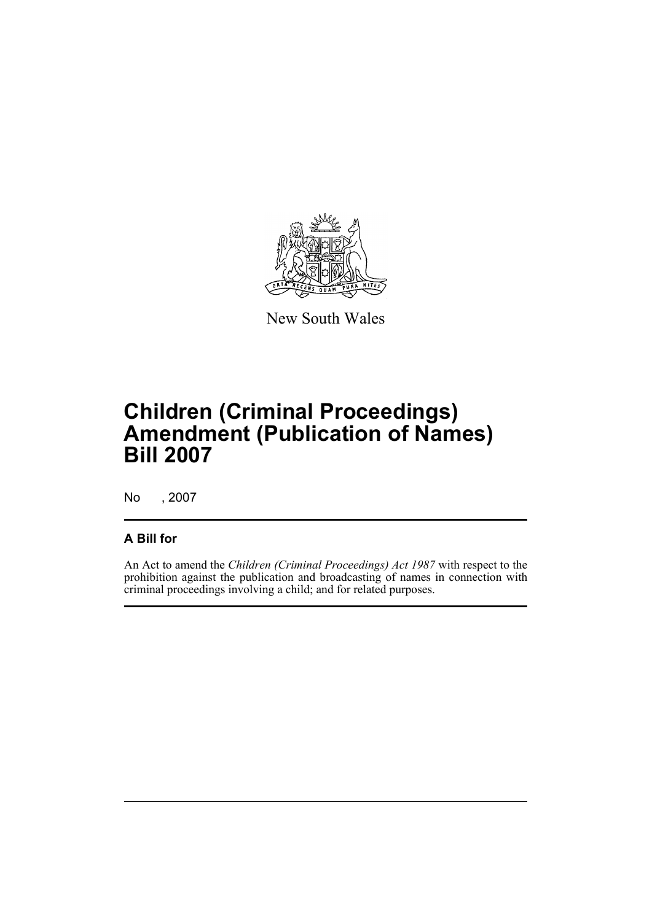

New South Wales

# **Children (Criminal Proceedings) Amendment (Publication of Names) Bill 2007**

No , 2007

## **A Bill for**

An Act to amend the *Children (Criminal Proceedings) Act 1987* with respect to the prohibition against the publication and broadcasting of names in connection with criminal proceedings involving a child; and for related purposes.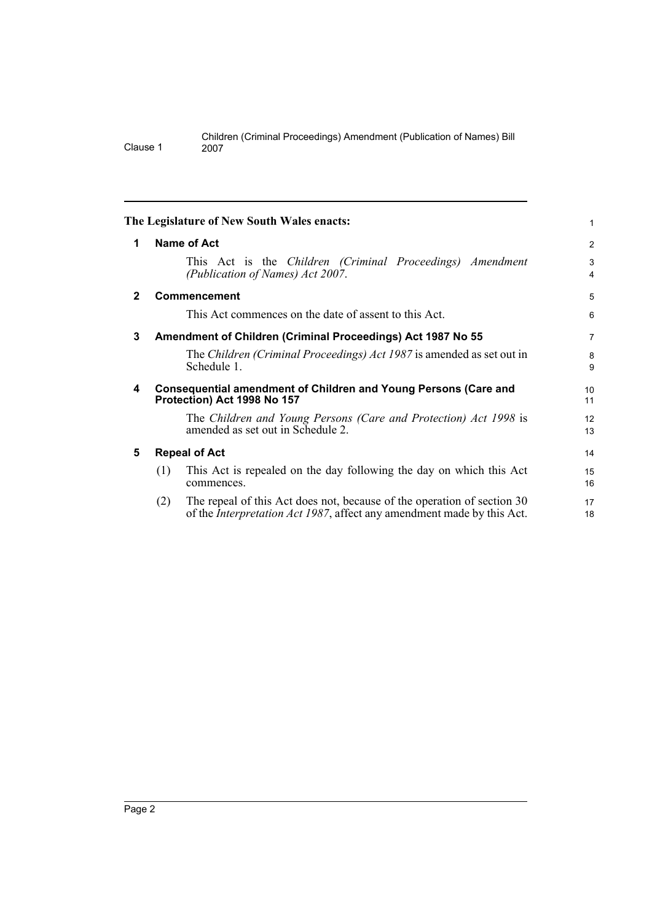<span id="page-9-4"></span><span id="page-9-3"></span><span id="page-9-2"></span><span id="page-9-1"></span><span id="page-9-0"></span>

|              |     | The Legislature of New South Wales enacts:                                                                                                                | 1                            |
|--------------|-----|-----------------------------------------------------------------------------------------------------------------------------------------------------------|------------------------------|
| 1            |     | Name of Act                                                                                                                                               | 2                            |
|              |     | This Act is the Children (Criminal Proceedings) Amendment<br>(Publication of Names) Act 2007.                                                             | 3<br>$\overline{\mathbf{4}}$ |
| $\mathbf{2}$ |     | <b>Commencement</b>                                                                                                                                       | 5                            |
|              |     | This Act commences on the date of assent to this Act.                                                                                                     | 6                            |
| 3            |     | Amendment of Children (Criminal Proceedings) Act 1987 No 55                                                                                               | $\overline{7}$               |
|              |     | The Children (Criminal Proceedings) Act 1987 is amended as set out in<br>Schedule 1.                                                                      | 8<br>9                       |
| 4            |     | <b>Consequential amendment of Children and Young Persons (Care and</b><br>Protection) Act 1998 No 157                                                     | 10<br>11                     |
|              |     | The Children and Young Persons (Care and Protection) Act 1998 is<br>amended as set out in Schedule 2.                                                     | 12<br>13                     |
| 5            |     | <b>Repeal of Act</b>                                                                                                                                      | 14                           |
|              | (1) | This Act is repealed on the day following the day on which this Act<br>commences.                                                                         | 15<br>16                     |
|              | (2) | The repeal of this Act does not, because of the operation of section 30<br>of the <i>Interpretation Act 1987</i> , affect any amendment made by this Act. | 17<br>18                     |

Clause 1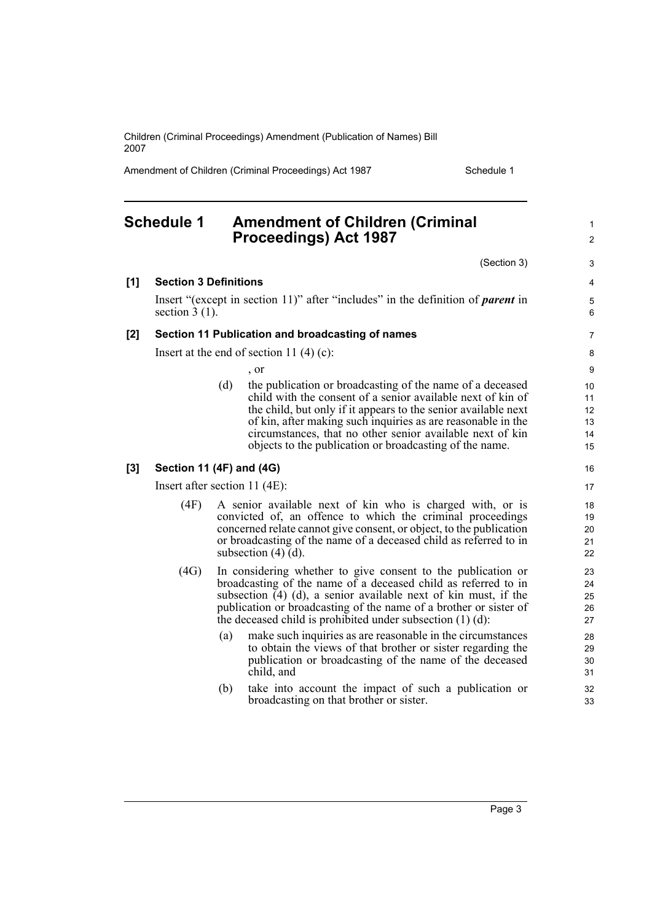Amendment of Children (Criminal Proceedings) Act 1987 Schedule 1

<span id="page-10-0"></span>**Schedule 1 Amendment of Children (Criminal Proceedings) Act 1987**

(Section 3)

1  $\mathfrak{p}$ 

3

**[1] Section 3 Definitions** Insert "(except in section 11)" after "includes" in the definition of *parent* in section  $3(1)$ . **[2] Section 11 Publication and broadcasting of names** Insert at the end of section 11 $(4)(c)$ : , or (d) the publication or broadcasting of the name of a deceased child with the consent of a senior available next of kin of the child, but only if it appears to the senior available next of kin, after making such inquiries as are reasonable in the circumstances, that no other senior available next of kin objects to the publication or broadcasting of the name. Insert after section 11 (4E): (4F) A senior available next of kin who is charged with, or is convicted of, an offence to which the criminal proceedings concerned relate cannot give consent, or object, to the publication or broadcasting of the name of a deceased child as referred to in subsection  $(4)$   $(d)$ . (4G) In considering whether to give consent to the publication or broadcasting of the name of a deceased child as referred to in subsection  $(4)$  (d), a senior available next of kin must, if the publication or broadcasting of the name of a brother or sister of the deceased child is prohibited under subsection (1) (d): (a) make such inquiries as are reasonable in the circumstances to obtain the views of that brother or sister regarding the publication or broadcasting of the name of the deceased child, and (b) take into account the impact of such a publication or broadcasting on that brother or sister. 4 5 6 7 8  $\alpha$ 10 11 12 13 14 15 16 17 18 19 20 21 22 23 24 25 26 27 28 29 30 31 32 33

#### **[3] Section 11 (4F) and (4G)**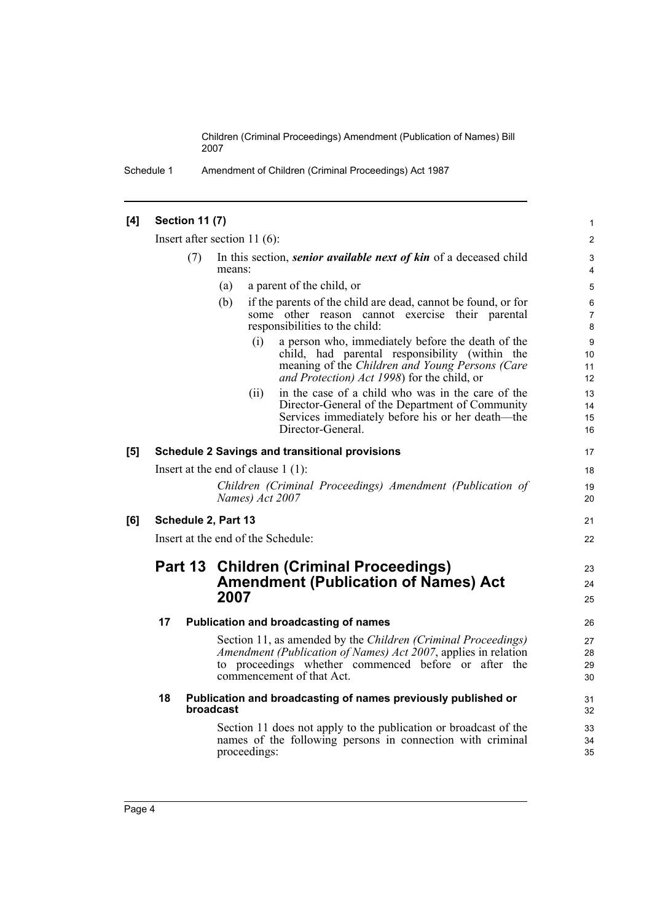Schedule 1 Amendment of Children (Criminal Proceedings) Act 1987

## **[4] Section 11 (7)**

Insert after section 11 (6):

| (7) | In this section, <i>senior available next of kin</i> of a deceased child |
|-----|--------------------------------------------------------------------------|
|     | means:                                                                   |

| a parent of the child, or<br>(a) |  |
|----------------------------------|--|
|----------------------------------|--|

| (b) | if the parents of the child are dead, cannot be found, or for |  |                                |  |                                                  |  |  |
|-----|---------------------------------------------------------------|--|--------------------------------|--|--------------------------------------------------|--|--|
|     |                                                               |  |                                |  | some other reason cannot exercise their parental |  |  |
|     |                                                               |  | responsibilities to the child: |  |                                                  |  |  |
|     |                                                               |  |                                |  |                                                  |  |  |

(i) a person who, immediately before the death of the child, had parental responsibility (within the meaning of the *Children and Young Persons (Care and Protection) Act 1998*) for the child, or

21 22

23 24 25

(ii) in the case of a child who was in the care of the Director-General of the Department of Community Services immediately before his or her death—the Director-General.

#### **[5] Schedule 2 Savings and transitional provisions**

Insert at the end of clause 1 (1):

*Children (Criminal Proceedings) Amendment (Publication of Names) Act 2007*

## **[6] Schedule 2, Part 13**

Insert at the end of the Schedule:

# **Part 13 Children (Criminal Proceedings) Amendment (Publication of Names) Act 2007**

#### **17 Publication and broadcasting of names**

Section 11, as amended by the *Children (Criminal Proceedings) Amendment (Publication of Names) Act 2007*, applies in relation to proceedings whether commenced before or after the commencement of that Act.

#### **18 Publication and broadcasting of names previously published or broadcast**

Section 11 does not apply to the publication or broadcast of the names of the following persons in connection with criminal proceedings: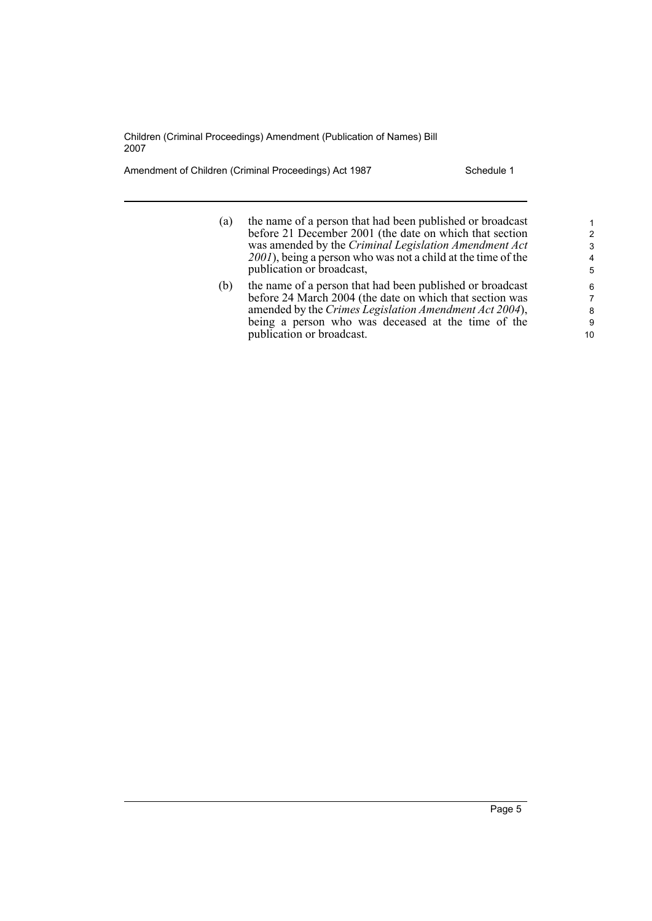Amendment of Children (Criminal Proceedings) Act 1987 Schedule 1

| (a) | the name of a person that had been published or broadcast<br>before 21 December 2001 (the date on which that section<br>was amended by the Criminal Legislation Amendment Act<br>2001), being a person who was not a child at the time of the<br>publication or broadcast, | $\mathcal{P}$<br>3<br>4<br>5 |
|-----|----------------------------------------------------------------------------------------------------------------------------------------------------------------------------------------------------------------------------------------------------------------------------|------------------------------|
| (b) | the name of a person that had been published or broadcast<br>before 24 March 2004 (the date on which that section was<br>amended by the Crimes Legislation Amendment Act 2004),<br>being a person who was deceased at the time of the<br>publication or broadcast.         | 6<br>7<br>8<br>9<br>10       |